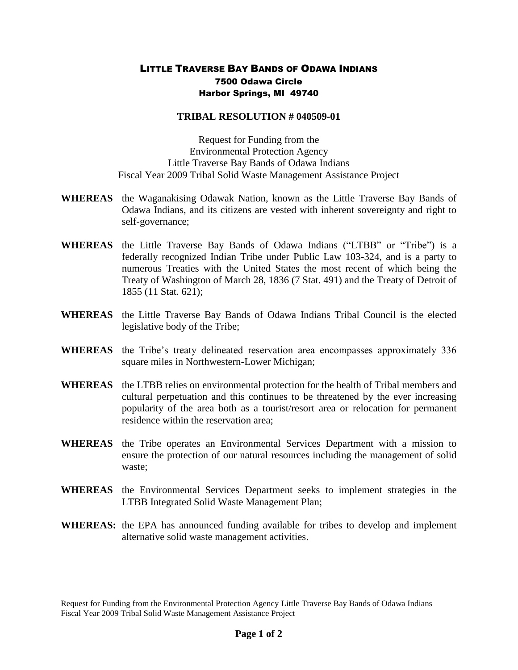## LITTLE TRAVERSE BAY BANDS OF ODAWA INDIANS 7500 Odawa Circle Harbor Springs, MI 49740

## **TRIBAL RESOLUTION # 040509-01**

Request for Funding from the Environmental Protection Agency Little Traverse Bay Bands of Odawa Indians Fiscal Year 2009 Tribal Solid Waste Management Assistance Project

- **WHEREAS** the Waganakising Odawak Nation, known as the Little Traverse Bay Bands of Odawa Indians, and its citizens are vested with inherent sovereignty and right to self-governance;
- **WHEREAS** the Little Traverse Bay Bands of Odawa Indians ("LTBB" or "Tribe") is a federally recognized Indian Tribe under Public Law 103-324, and is a party to numerous Treaties with the United States the most recent of which being the Treaty of Washington of March 28, 1836 (7 Stat. 491) and the Treaty of Detroit of 1855 (11 Stat. 621);
- **WHEREAS** the Little Traverse Bay Bands of Odawa Indians Tribal Council is the elected legislative body of the Tribe;
- **WHEREAS** the Tribe's treaty delineated reservation area encompasses approximately 336 square miles in Northwestern-Lower Michigan;
- **WHEREAS** the LTBB relies on environmental protection for the health of Tribal members and cultural perpetuation and this continues to be threatened by the ever increasing popularity of the area both as a tourist/resort area or relocation for permanent residence within the reservation area;
- **WHEREAS** the Tribe operates an Environmental Services Department with a mission to ensure the protection of our natural resources including the management of solid waste;
- **WHEREAS** the Environmental Services Department seeks to implement strategies in the LTBB Integrated Solid Waste Management Plan;
- **WHEREAS:** the EPA has announced funding available for tribes to develop and implement alternative solid waste management activities.

Request for Funding from the Environmental Protection Agency Little Traverse Bay Bands of Odawa Indians Fiscal Year 2009 Tribal Solid Waste Management Assistance Project